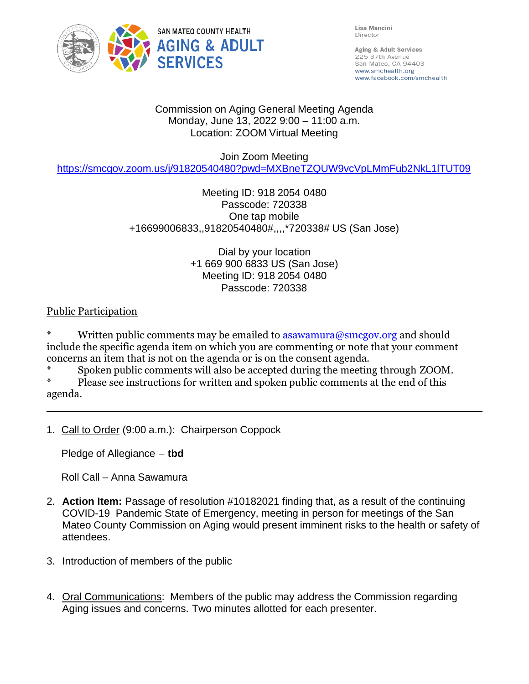

Lisa Mancini Director

Aging & Adult Services 225 37th Avenue San Mateo, CA 94403 www.smchealth.org www.facebook.com/smchealth

#### Commission on Aging General Meeting Agenda Monday, June 13, 2022 9:00 – 11:00 a.m. Location: ZOOM Virtual Meeting

#### Join Zoom Meeting

<https://smcgov.zoom.us/j/91820540480?pwd=MXBneTZQUW9vcVpLMmFub2NkL1lTUT09>

# Meeting ID: 918 2054 0480 Passcode: 720338 One tap mobile +16699006833,,91820540480#,,,,\*720338# US (San Jose)

#### Dial by your location +1 669 900 6833 US (San Jose) Meeting ID: 918 2054 0480 Passcode: 720338

### Public Participation

Written public comments may be emailed to  $\frac{1}{2}$  as awamura@smcgov.org and should include the specific agenda item on which you are commenting or note that your comment concerns an item that is not on the agenda or is on the consent agenda.

\* Spoken public comments will also be accepted during the meeting through ZOOM.

Please see instructions for written and spoken public comments at the end of this agenda.

1. Call to Order (9:00 a.m.): Chairperson Coppock

Pledge of Allegiance – **tbd**

Roll Call – Anna Sawamura

- 2. **Action Item:** Passage of resolution #10182021 finding that, as a result of the continuing COVID-19 Pandemic State of Emergency, meeting in person for meetings of the San Mateo County Commission on Aging would present imminent risks to the health or safety of attendees.
- 3. Introduction of members of the public
- 4. Oral Communications: Members of the public may address the Commission regarding Aging issues and concerns. Two minutes allotted for each presenter.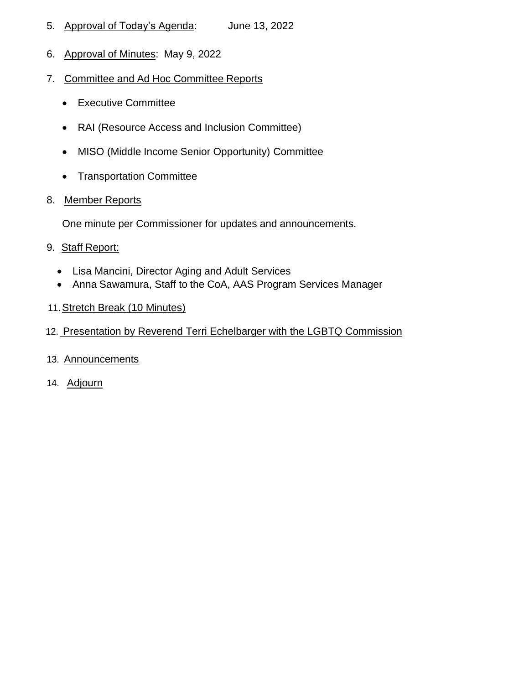- 5. Approval of Today's Agenda: June 13, 2022
- 6. Approval of Minutes: May 9, 2022
- 7. Committee and Ad Hoc Committee Reports
	- Executive Committee
	- RAI (Resource Access and Inclusion Committee)
	- MISO (Middle Income Senior Opportunity) Committee
	- Transportation Committee
- 8. Member Reports

One minute per Commissioner for updates and announcements.

- 9. Staff Report:
	- Lisa Mancini, Director Aging and Adult Services
	- Anna Sawamura, Staff to the CoA, AAS Program Services Manager
- 11. Stretch Break (10 Minutes)
- 12. Presentation by Reverend Terri Echelbarger with the LGBTQ Commission
- 13. Announcements
- 14. Adjourn